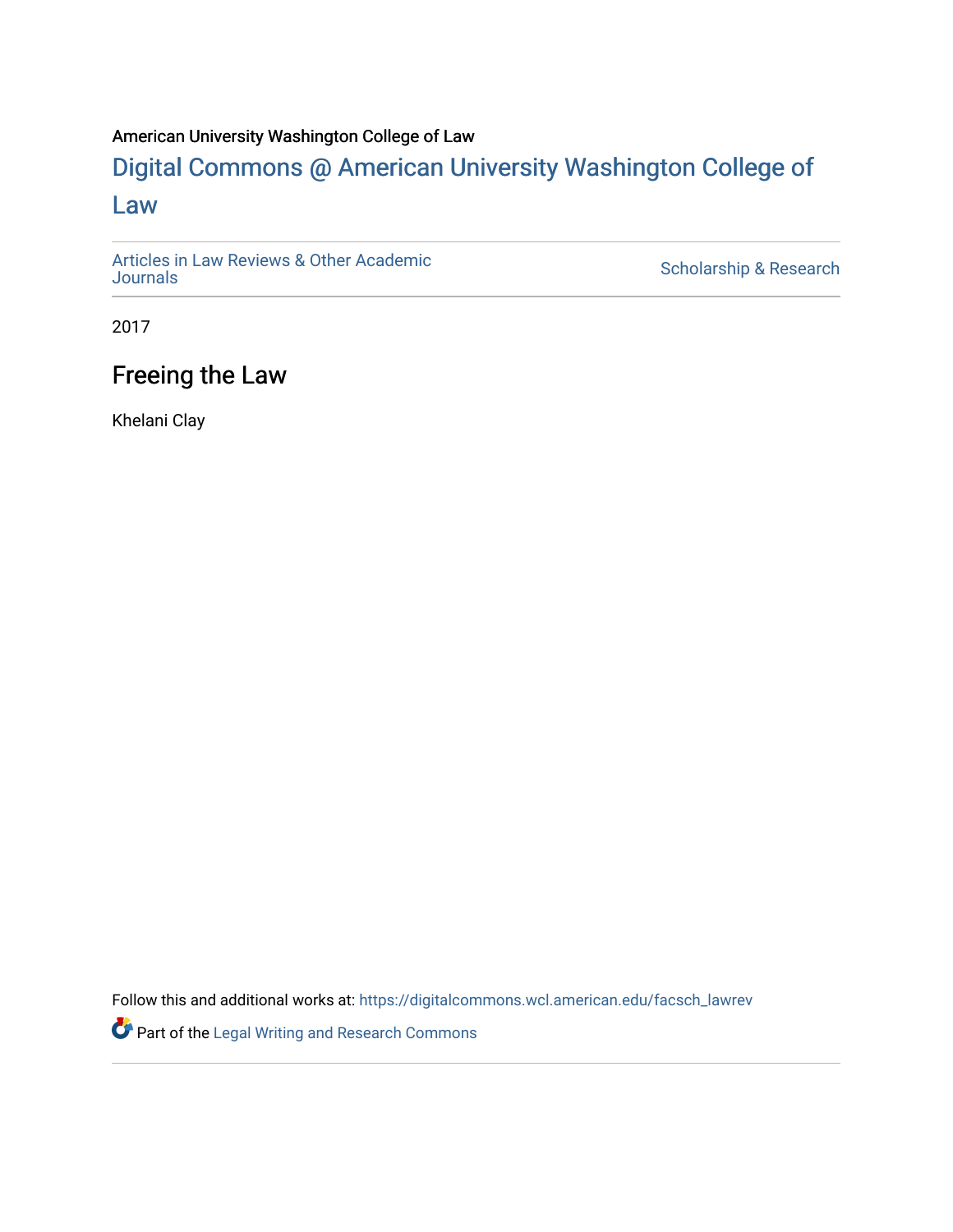#### American University Washington College of Law

### [Digital Commons @ American University Washington College of](https://digitalcommons.wcl.american.edu/)  [Law](https://digitalcommons.wcl.american.edu/)

[Articles in Law Reviews & Other Academic](https://digitalcommons.wcl.american.edu/facsch_lawrev) 

Scholarship & Research

2017

#### Freeing the Law

Khelani Clay

Follow this and additional works at: [https://digitalcommons.wcl.american.edu/facsch\\_lawrev](https://digitalcommons.wcl.american.edu/facsch_lawrev?utm_source=digitalcommons.wcl.american.edu%2Ffacsch_lawrev%2F1154&utm_medium=PDF&utm_campaign=PDFCoverPages) 

Part of the [Legal Writing and Research Commons](http://network.bepress.com/hgg/discipline/614?utm_source=digitalcommons.wcl.american.edu%2Ffacsch_lawrev%2F1154&utm_medium=PDF&utm_campaign=PDFCoverPages)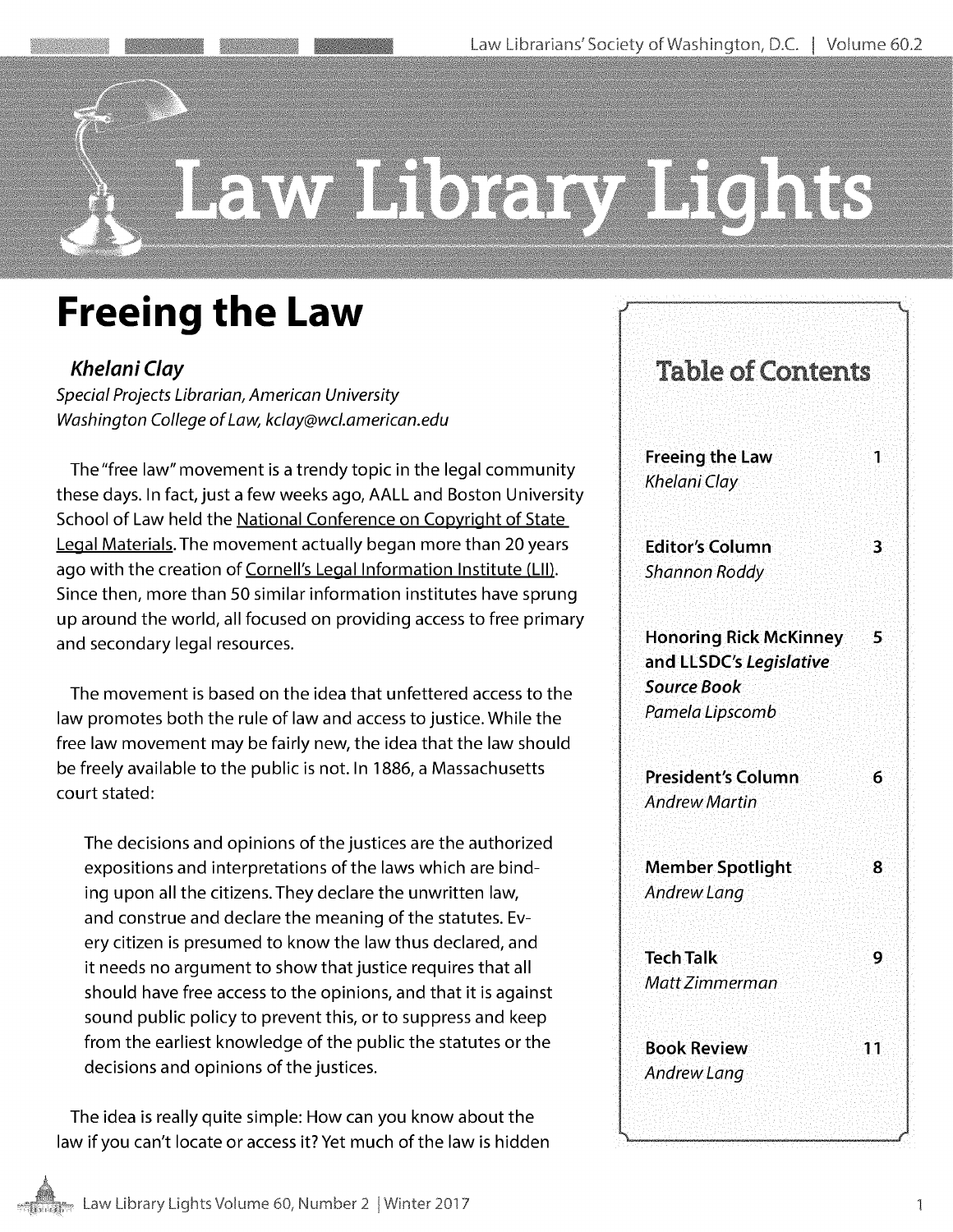# Law Library Lights

## **Freeing the Law**

**Khelani Clay** Special Projects Librarian, American University Washington College of Law, kclay@wcl.american.edu

The"free law" movement is a trendy topic in the legal community these days. In fact, just a few weeks ago, **AALL** and Boston University School of Law held the National Conference on Copyright of State Legal Materials. The movement actually began more than 20 years ago with the creation of Cornell's Legal Information Institute (LII). Since then, more than **50** similar information institutes have sprung up around the world, all focused on providing access to free primary and secondary legal resources.

The movement is based on the idea that unfettered access to the law promotes both the rule of law and access to justice. While the free law movement may be fairly new, the idea that the law should be freely available to the public is not. In **1886,** a Massachusetts court stated:

The decisions and opinions of the justices are the authorized expositions and interpretations of the laws which are binding upon all the citizens. They declare the unwritten law, and construe and declare the meaning of the statutes. Every citizen is presumed to know the law thus declared, and it needs no argument to show that justice requires that all should have free access to the opinions, and that it is against sound public policy to prevent this, or to suppress and keep from the earliest knowledge of the public the statutes or the decisions and opinions of the justices.

The idea is really quite simple: How can you know about the law if you can't locate or access it? Yet much of the law is hidden

| <b>Table of Contents</b>                                                                               |
|--------------------------------------------------------------------------------------------------------|
| <b>Freeing the Law</b><br>1<br>Khelani Clay                                                            |
| <b>Editor's Column</b><br>3<br><b>Shannon Roddy</b>                                                    |
| <b>Honoring Rick McKinney</b><br>5<br>and LLSDC's Legislative<br><b>Source Book</b><br>Pamela Lipscomb |
| <b>President's Column</b><br>6<br><b>Andrew Martin</b>                                                 |
| <b>Member Spotlight</b><br>ጸ<br>Andrew Lang                                                            |
| <b>Tech Talk</b><br>9<br>Matt Zimmerman                                                                |
| Book Review<br>11<br><b>Andrew Lang</b>                                                                |